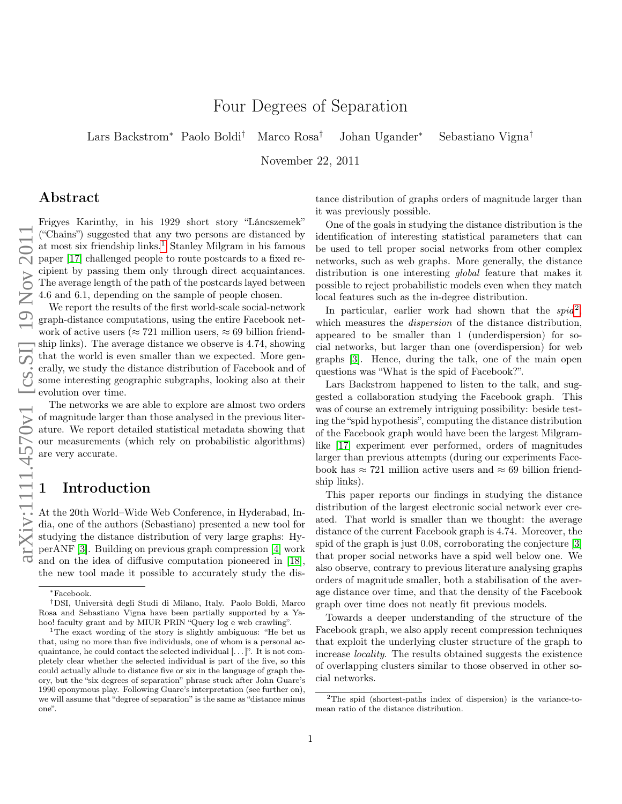# Four Degrees of Separation

Lars Backstrom<sup>∗</sup> Paolo Boldi† Marco Rosa† Johan Ugander<sup>∗</sup> Sebastiano Vigna†

November 22, 2011

## Abstract

Frigyes Karinthy, in his 1929 short story "Láncszemek" ("Chains") suggested that any two persons are distanced by at most six friendship links.<sup>[1](#page-0-0)</sup> Stanley Milgram in his famous paper [\[17\]](#page-12-0) challenged people to route postcards to a fixed recipient by passing them only through direct acquaintances. The average length of the path of the postcards layed between 4.6 and 6.1, depending on the sample of people chosen.

We report the results of the first world-scale social-network graph-distance computations, using the entire Facebook network of active users ( $\approx 721$  million users,  $\approx 69$  billion friendship links). The average distance we observe is 4.74, showing that the world is even smaller than we expected. More generally, we study the distance distribution of Facebook and of some interesting geographic subgraphs, looking also at their evolution over time.

The networks we are able to explore are almost two orders of magnitude larger than those analysed in the previous literature. We report detailed statistical metadata showing that our measurements (which rely on probabilistic algorithms) are very accurate.

## 1 Introduction

At the 20th World–Wide Web Conference, in Hyderabad, India, one of the authors (Sebastiano) presented a new tool for studying the distance distribution of very large graphs: HyperANF [\[3\]](#page-11-0). Building on previous graph compression [\[4\]](#page-11-1) work and on the idea of diffusive computation pioneered in [\[18\]](#page-12-1), the new tool made it possible to accurately study the distance distribution of graphs orders of magnitude larger than it was previously possible.

One of the goals in studying the distance distribution is the identification of interesting statistical parameters that can be used to tell proper social networks from other complex networks, such as web graphs. More generally, the distance distribution is one interesting *global* feature that makes it possible to reject probabilistic models even when they match local features such as the in-degree distribution.

In particular, earlier work had shown that the  $spid^2$  $spid^2$ , which measures the *dispersion* of the distance distribution, appeared to be smaller than 1 (underdispersion) for social networks, but larger than one (overdispersion) for web graphs [\[3\]](#page-11-0). Hence, during the talk, one of the main open questions was "What is the spid of Facebook?".

Lars Backstrom happened to listen to the talk, and suggested a collaboration studying the Facebook graph. This was of course an extremely intriguing possibility: beside testing the "spid hypothesis", computing the distance distribution of the Facebook graph would have been the largest Milgramlike [\[17\]](#page-12-0) experiment ever performed, orders of magnitudes larger than previous attempts (during our experiments Facebook has  $\approx 721$  million active users and  $\approx 69$  billion friendship links).

This paper reports our findings in studying the distance distribution of the largest electronic social network ever created. That world is smaller than we thought: the average distance of the current Facebook graph is 4.74. Moreover, the spid of the graph is just 0.08, corroborating the conjecture [\[3\]](#page-11-0) that proper social networks have a spid well below one. We also observe, contrary to previous literature analysing graphs orders of magnitude smaller, both a stabilisation of the average distance over time, and that the density of the Facebook graph over time does not neatly fit previous models.

Towards a deeper understanding of the structure of the Facebook graph, we also apply recent compression techniques that exploit the underlying cluster structure of the graph to increase locality. The results obtained suggests the existence of overlapping clusters similar to those observed in other social networks.

<sup>∗</sup>Facebook.

<sup>†</sup>DSI, Università degli Studi di Milano, Italy. Paolo Boldi, Marco Rosa and Sebastiano Vigna have been partially supported by a Yahoo! faculty grant and by MIUR PRIN "Query log e web crawling".

<span id="page-0-0"></span><sup>&</sup>lt;sup>1</sup>The exact wording of the story is slightly ambiguous: "He bet us that, using no more than five individuals, one of whom is a personal acquaintance, he could contact the selected individual [. . . ]". It is not completely clear whether the selected individual is part of the five, so this could actually allude to distance five or six in the language of graph theory, but the "six degrees of separation" phrase stuck after John Guare's 1990 eponymous play. Following Guare's interpretation (see further on), we will assume that "degree of separation" is the same as "distance minus one".

<span id="page-0-1"></span><sup>2</sup>The spid (shortest-paths index of dispersion) is the variance-tomean ratio of the distance distribution.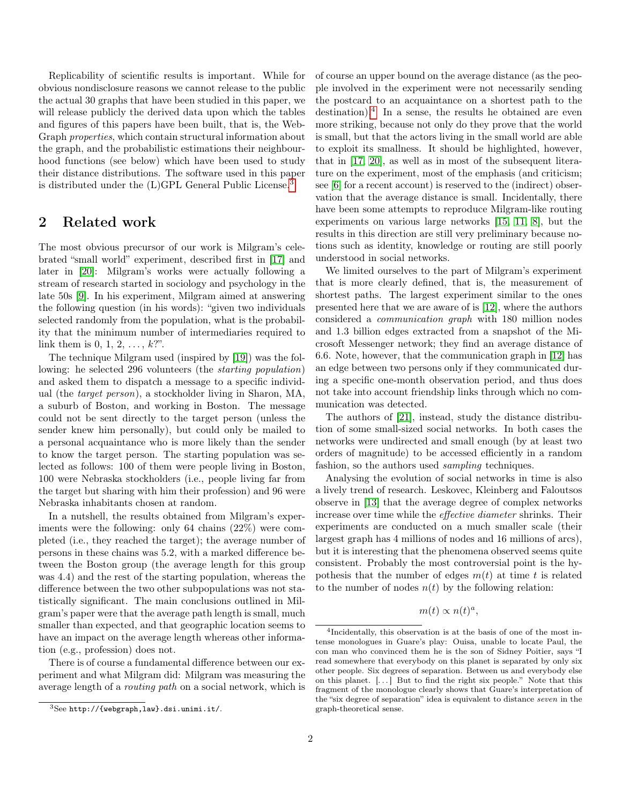Replicability of scientific results is important. While for obvious nondisclosure reasons we cannot release to the public the actual 30 graphs that have been studied in this paper, we will release publicly the derived data upon which the tables and figures of this papers have been built, that is, the Web-Graph properties, which contain structural information about the graph, and the probabilistic estimations their neighbourhood functions (see below) which have been used to study their distance distributions. The software used in this paper is distributed under the (L)GPL General Public License.[3](#page-1-0)

### 2 Related work

The most obvious precursor of our work is Milgram's celebrated "small world" experiment, described first in [\[17\]](#page-12-0) and later in [\[20\]](#page-12-2): Milgram's works were actually following a stream of research started in sociology and psychology in the late 50s [\[9\]](#page-11-2). In his experiment, Milgram aimed at answering the following question (in his words): "given two individuals selected randomly from the population, what is the probability that the minimum number of intermediaries required to link them is 0, 1, 2,  $\dots$ ,  $k$ ?".

The technique Milgram used (inspired by [\[19\]](#page-12-3)) was the following: he selected 296 volunteers (the starting population) and asked them to dispatch a message to a specific individual (the target person), a stockholder living in Sharon, MA, a suburb of Boston, and working in Boston. The message could not be sent directly to the target person (unless the sender knew him personally), but could only be mailed to a personal acquaintance who is more likely than the sender to know the target person. The starting population was selected as follows: 100 of them were people living in Boston, 100 were Nebraska stockholders (i.e., people living far from the target but sharing with him their profession) and 96 were Nebraska inhabitants chosen at random.

In a nutshell, the results obtained from Milgram's experiments were the following: only 64 chains (22%) were completed (i.e., they reached the target); the average number of persons in these chains was 5.2, with a marked difference between the Boston group (the average length for this group was 4.4) and the rest of the starting population, whereas the difference between the two other subpopulations was not statistically significant. The main conclusions outlined in Milgram's paper were that the average path length is small, much smaller than expected, and that geographic location seems to have an impact on the average length whereas other information (e.g., profession) does not.

There is of course a fundamental difference between our experiment and what Milgram did: Milgram was measuring the average length of a routing path on a social network, which is of course an upper bound on the average distance (as the people involved in the experiment were not necessarily sending the postcard to an acquaintance on a shortest path to the destination).<sup>[4](#page-1-1)</sup> In a sense, the results he obtained are even more striking, because not only do they prove that the world is small, but that the actors living in the small world are able to exploit its smallness. It should be highlighted, however, that in [\[17,](#page-12-0) [20\]](#page-12-2), as well as in most of the subsequent literature on the experiment, most of the emphasis (and criticism; see [\[6\]](#page-11-3) for a recent account) is reserved to the (indirect) observation that the average distance is small. Incidentally, there have been some attempts to reproduce Milgram-like routing experiments on various large networks [\[15,](#page-11-4) [11,](#page-11-5) [8\]](#page-11-6), but the results in this direction are still very preliminary because notions such as identity, knowledge or routing are still poorly understood in social networks.

We limited ourselves to the part of Milgram's experiment that is more clearly defined, that is, the measurement of shortest paths. The largest experiment similar to the ones presented here that we are aware of is [\[12\]](#page-11-7), where the authors considered a communication graph with 180 million nodes and 1.3 billion edges extracted from a snapshot of the Microsoft Messenger network; they find an average distance of 6.6. Note, however, that the communication graph in [\[12\]](#page-11-7) has an edge between two persons only if they communicated during a specific one-month observation period, and thus does not take into account friendship links through which no communication was detected.

The authors of [\[21\]](#page-12-4), instead, study the distance distribution of some small-sized social networks. In both cases the networks were undirected and small enough (by at least two orders of magnitude) to be accessed efficiently in a random fashion, so the authors used *sampling* techniques.

Analysing the evolution of social networks in time is also a lively trend of research. Leskovec, Kleinberg and Faloutsos observe in [\[13\]](#page-11-8) that the average degree of complex networks increase over time while the effective diameter shrinks. Their experiments are conducted on a much smaller scale (their largest graph has 4 millions of nodes and 16 millions of arcs), but it is interesting that the phenomena observed seems quite consistent. Probably the most controversial point is the hypothesis that the number of edges  $m(t)$  at time t is related to the number of nodes  $n(t)$  by the following relation:

$$
m(t) \propto n(t)^a,
$$

<span id="page-1-0"></span> $3$ See http://{webgraph,law}.dsi.unimi.it/.

<span id="page-1-1"></span><sup>4</sup> Incidentally, this observation is at the basis of one of the most intense monologues in Guare's play: Ouisa, unable to locate Paul, the con man who convinced them he is the son of Sidney Poitier, says "I read somewhere that everybody on this planet is separated by only six other people. Six degrees of separation. Between us and everybody else on this planet. [. . . ] But to find the right six people." Note that this fragment of the monologue clearly shows that Guare's interpretation of the "six degree of separation" idea is equivalent to distance seven in the graph-theoretical sense.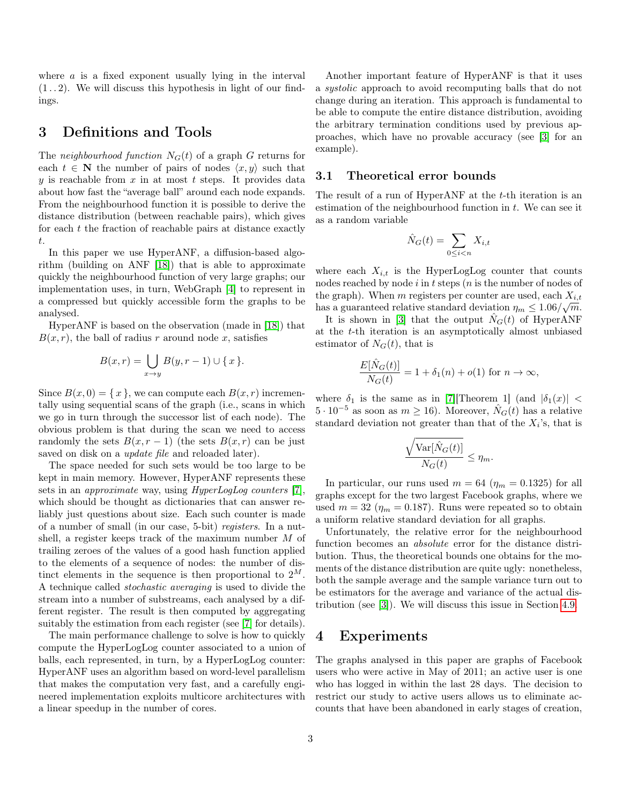where  $\alpha$  is a fixed exponent usually lying in the interval  $(1 \ldots 2)$ . We will discuss this hypothesis in light of our findings.

### 3 Definitions and Tools

The neighbourhood function  $N_G(t)$  of a graph G returns for each  $t \in \mathbb{N}$  the number of pairs of nodes  $\langle x, y \rangle$  such that y is reachable from  $x$  in at most  $t$  steps. It provides data about how fast the "average ball" around each node expands. From the neighbourhood function it is possible to derive the distance distribution (between reachable pairs), which gives for each  $t$  the fraction of reachable pairs at distance exactly t.

In this paper we use HyperANF, a diffusion-based algorithm (building on ANF [\[18\]](#page-12-1)) that is able to approximate quickly the neighbourhood function of very large graphs; our implementation uses, in turn, WebGraph [\[4\]](#page-11-1) to represent in a compressed but quickly accessible form the graphs to be analysed.

HyperANF is based on the observation (made in [\[18\]](#page-12-1)) that  $B(x, r)$ , the ball of radius r around node x, satisfies

$$
B(x,r) = \bigcup_{x \to y} B(y,r-1) \cup \{x\}.
$$

Since  $B(x, 0) = \{x\}$ , we can compute each  $B(x, r)$  incrementally using sequential scans of the graph (i.e., scans in which we go in turn through the successor list of each node). The obvious problem is that during the scan we need to access randomly the sets  $B(x, r - 1)$  (the sets  $B(x, r)$  can be just saved on disk on a *update file* and reloaded later).

The space needed for such sets would be too large to be kept in main memory. However, HyperANF represents these sets in an *approximate* way, using *HyperLogLog counters* [\[7\]](#page-11-9), which should be thought as dictionaries that can answer reliably just questions about size. Each such counter is made of a number of small (in our case, 5-bit) registers. In a nutshell, a register keeps track of the maximum number M of trailing zeroes of the values of a good hash function applied to the elements of a sequence of nodes: the number of distinct elements in the sequence is then proportional to  $2^M$ . A technique called stochastic averaging is used to divide the stream into a number of substreams, each analysed by a different register. The result is then computed by aggregating suitably the estimation from each register (see [\[7\]](#page-11-9) for details).

The main performance challenge to solve is how to quickly compute the HyperLogLog counter associated to a union of balls, each represented, in turn, by a HyperLogLog counter: HyperANF uses an algorithm based on word-level parallelism that makes the computation very fast, and a carefully engineered implementation exploits multicore architectures with a linear speedup in the number of cores.

Another important feature of HyperANF is that it uses a systolic approach to avoid recomputing balls that do not change during an iteration. This approach is fundamental to be able to compute the entire distance distribution, avoiding the arbitrary termination conditions used by previous approaches, which have no provable accuracy (see [\[3\]](#page-11-0) for an example).

#### 3.1 Theoretical error bounds

The result of a run of HyperANF at the t-th iteration is an estimation of the neighbourhood function in  $t$ . We can see it as a random variable

$$
\hat{N}_G(t) = \sum_{0 \le i < n} X_{i,t}
$$

where each  $X_{i,t}$  is the HyperLogLog counter that counts nodes reached by node  $i$  in  $t$  steps  $(n$  is the number of nodes of the graph). When m registers per counter are used, each  $X_{i,t}$ has a guaranteed relative standard deviation  $\eta_m \leq 1.06/\sqrt{m}$ .

It is shown in [\[3\]](#page-11-0) that the output  $N_G(t)$  of HyperANF at the t-th iteration is an asymptotically almost unbiased estimator of  $N<sub>G</sub>(t)$ , that is

$$
\frac{E[\hat{N}_G(t)]}{N_G(t)} = 1 + \delta_1(n) + o(1)
$$
 for  $n \to \infty$ ,

where  $\delta_1$  is the same as in [\[7\]](#page-11-9)[Theorem 1] (and  $|\delta_1(x)|$  <  $5 \cdot 10^{-5}$  as soon as  $m \ge 16$ ). Moreover,  $\hat{N}_G(t)$  has a relative standard deviation not greater than that of the  $X_i$ 's, that is

$$
\frac{\sqrt{\text{Var}[\hat{N}_G(t)]}}{N_G(t)} \le \eta_m.
$$

In particular, our runs used  $m = 64$  ( $\eta_m = 0.1325$ ) for all graphs except for the two largest Facebook graphs, where we used  $m = 32$  ( $\eta_m = 0.187$ ). Runs were repeated so to obtain a uniform relative standard deviation for all graphs.

Unfortunately, the relative error for the neighbourhood function becomes an absolute error for the distance distribution. Thus, the theoretical bounds one obtains for the moments of the distance distribution are quite ugly: nonetheless, both the sample average and the sample variance turn out to be estimators for the average and variance of the actual distribution (see [\[3\]](#page-11-0)). We will discuss this issue in Section [4.9.](#page-8-0)

#### 4 Experiments

The graphs analysed in this paper are graphs of Facebook users who were active in May of 2011; an active user is one who has logged in within the last 28 days. The decision to restrict our study to active users allows us to eliminate accounts that have been abandoned in early stages of creation,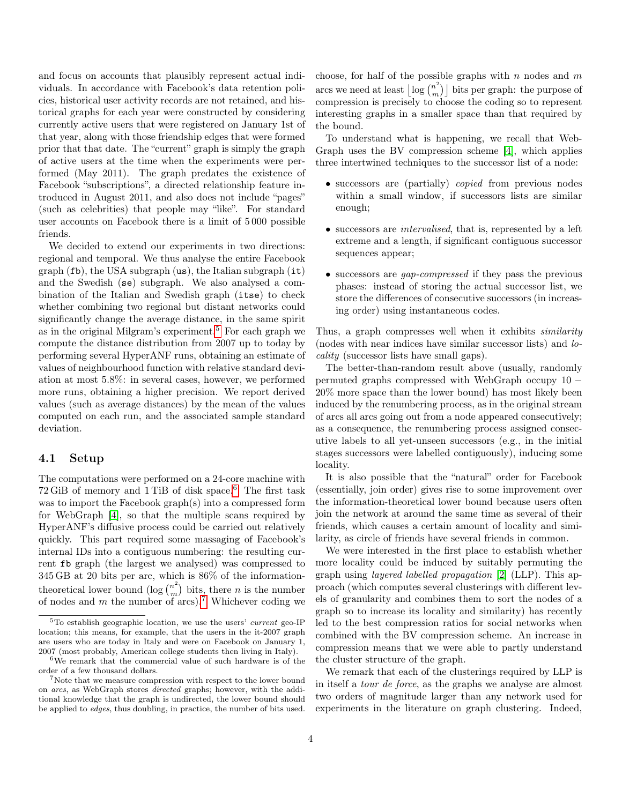and focus on accounts that plausibly represent actual individuals. In accordance with Facebook's data retention policies, historical user activity records are not retained, and historical graphs for each year were constructed by considering currently active users that were registered on January 1st of that year, along with those friendship edges that were formed prior that that date. The "current" graph is simply the graph of active users at the time when the experiments were performed (May 2011). The graph predates the existence of Facebook "subscriptions", a directed relationship feature introduced in August 2011, and also does not include "pages" (such as celebrities) that people may "like". For standard user accounts on Facebook there is a limit of 5 000 possible friends.

We decided to extend our experiments in two directions: regional and temporal. We thus analyse the entire Facebook  $graph(fb)$ , the USA subgraph  $(us)$ , the Italian subgraph  $(it)$ and the Swedish (se) subgraph. We also analysed a combination of the Italian and Swedish graph (itse) to check whether combining two regional but distant networks could significantly change the average distance, in the same spirit as in the original Milgram's experiment.[5](#page-3-0) For each graph we compute the distance distribution from 2007 up to today by performing several HyperANF runs, obtaining an estimate of values of neighbourhood function with relative standard deviation at most 5.8%: in several cases, however, we performed more runs, obtaining a higher precision. We report derived values (such as average distances) by the mean of the values computed on each run, and the associated sample standard deviation.

#### 4.1 Setup

The computations were performed on a 24-core machine with 72 GiB of memory and 1 TiB of disk space.[6](#page-3-1) The first task was to import the Facebook graph(s) into a compressed form for WebGraph [\[4\]](#page-11-1), so that the multiple scans required by HyperANF's diffusive process could be carried out relatively quickly. This part required some massaging of Facebook's internal IDs into a contiguous numbering: the resulting current fb graph (the largest we analysed) was compressed to 345 GB at 20 bits per arc, which is 86% of the informationtheoretical lower bound (log  $\binom{n^2}{m}$  $\binom{n^2}{m}$  bits, there *n* is the number of nodes and  $m$  the number of arcs).<sup>[7](#page-3-2)</sup> Whichever coding we

choose, for half of the possible graphs with  $n$  nodes and  $m$ arcs we need at least  $\log\binom{n^2}{m}$  $\binom{n^2}{m}$  bits per graph: the purpose of compression is precisely to choose the coding so to represent interesting graphs in a smaller space than that required by the bound.

To understand what is happening, we recall that Web-Graph uses the BV compression scheme [\[4\]](#page-11-1), which applies three intertwined techniques to the successor list of a node:

- successors are (partially) *copied* from previous nodes within a small window, if successors lists are similar enough;
- successors are intervalised, that is, represented by a left extreme and a length, if significant contiguous successor sequences appear;
- successors are *gap-compressed* if they pass the previous phases: instead of storing the actual successor list, we store the differences of consecutive successors (in increasing order) using instantaneous codes.

Thus, a graph compresses well when it exhibits *similarity* (nodes with near indices have similar successor lists) and locality (successor lists have small gaps).

The better-than-random result above (usually, randomly permuted graphs compressed with WebGraph occupy 10 − 20% more space than the lower bound) has most likely been induced by the renumbering process, as in the original stream of arcs all arcs going out from a node appeared consecutively; as a consequence, the renumbering process assigned consecutive labels to all yet-unseen successors (e.g., in the initial stages successors were labelled contiguously), inducing some locality.

It is also possible that the "natural" order for Facebook (essentially, join order) gives rise to some improvement over the information-theoretical lower bound because users often join the network at around the same time as several of their friends, which causes a certain amount of locality and similarity, as circle of friends have several friends in common.

We were interested in the first place to establish whether more locality could be induced by suitably permuting the graph using layered labelled propagation [\[2\]](#page-11-10) (LLP). This approach (which computes several clusterings with different levels of granularity and combines them to sort the nodes of a graph so to increase its locality and similarity) has recently led to the best compression ratios for social networks when combined with the BV compression scheme. An increase in compression means that we were able to partly understand the cluster structure of the graph.

We remark that each of the clusterings required by LLP is in itself a tour de force, as the graphs we analyse are almost two orders of magnitude larger than any network used for experiments in the literature on graph clustering. Indeed,

<span id="page-3-0"></span> ${}^{5}$ To establish geographic location, we use the users' *current* geo-IP location; this means, for example, that the users in the it-2007 graph are users who are today in Italy and were on Facebook on January 1, 2007 (most probably, American college students then living in Italy).

<span id="page-3-1"></span><sup>6</sup>We remark that the commercial value of such hardware is of the order of a few thousand dollars.

<span id="page-3-2"></span><sup>7</sup>Note that we measure compression with respect to the lower bound on arcs, as WebGraph stores directed graphs; however, with the additional knowledge that the graph is undirected, the lower bound should be applied to edges, thus doubling, in practice, the number of bits used.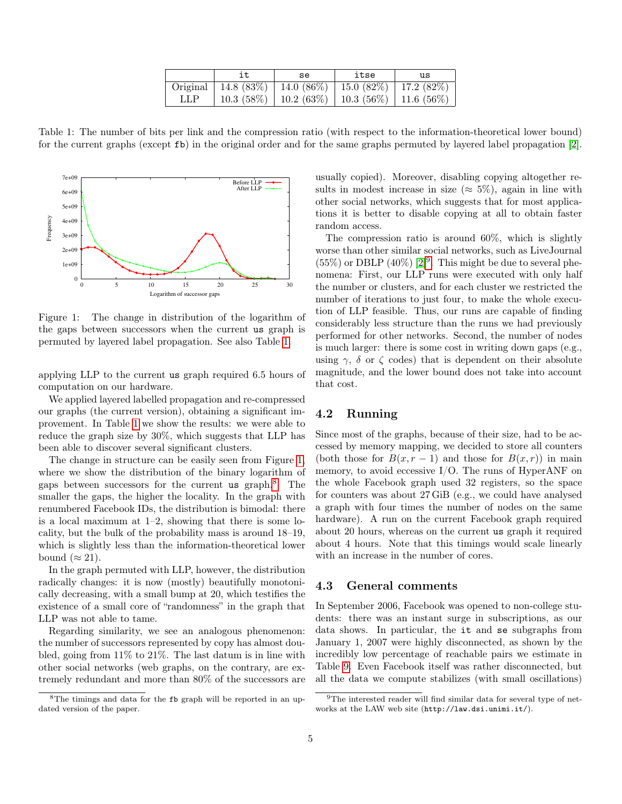|     | se                                                           | itse | us |
|-----|--------------------------------------------------------------|------|----|
|     | Original   14.8 (83%)   14.0 (86%)   15.0 (82%)   17.2 (82%) |      |    |
| LLP | $10.3(58\%)$   10.2 (63\%)   10.3 (56\%)   11.6 (56\%)       |      |    |

<span id="page-4-0"></span>Table 1: The number of bits per link and the compression ratio (with respect to the information-theoretical lower bound) for the current graphs (except fb) in the original order and for the same graphs permuted by layered label propagation [\[2\]](#page-11-10).



<span id="page-4-1"></span>Figure 1: The change in distribution of the logarithm of the gaps between successors when the current us graph is permuted by layered label propagation. See also Table [1.](#page-4-0)

applying LLP to the current us graph required 6.5 hours of computation on our hardware.

We applied layered labelled propagation and re-compressed our graphs (the current version), obtaining a significant improvement. In Table [1](#page-4-0) we show the results: we were able to reduce the graph size by 30%, which suggests that LLP has been able to discover several significant clusters.

The change in structure can be easily seen from Figure [1,](#page-4-1) where we show the distribution of the binary logarithm of gaps between successors for the current us graph.<sup>[8](#page-4-2)</sup> The smaller the gaps, the higher the locality. In the graph with renumbered Facebook IDs, the distribution is bimodal: there is a local maximum at  $1-2$ , showing that there is some locality, but the bulk of the probability mass is around 18–19, which is slightly less than the information-theoretical lower bound ( $\approx 21$ ).

In the graph permuted with LLP, however, the distribution radically changes: it is now (mostly) beautifully monotonically decreasing, with a small bump at 20, which testifies the existence of a small core of "randomness" in the graph that LLP was not able to tame.

Regarding similarity, we see an analogous phenomenon: the number of successors represented by copy has almost doubled, going from 11% to 21%. The last datum is in line with other social networks (web graphs, on the contrary, are extremely redundant and more than 80% of the successors are usually copied). Moreover, disabling copying altogether results in modest increase in size ( $\approx$  5%), again in line with other social networks, which suggests that for most applications it is better to disable copying at all to obtain faster random access.

The compression ratio is around 60%, which is slightly worse than other similar social networks, such as LiveJournal  $(55\%)$  or DBLP  $(40\%)$  [\[2\]](#page-11-10)<sup>[9](#page-4-3)</sup>. This might be due to several phenomena: First, our LLP runs were executed with only half the number or clusters, and for each cluster we restricted the number of iterations to just four, to make the whole execution of LLP feasible. Thus, our runs are capable of finding considerably less structure than the runs we had previously performed for other networks. Second, the number of nodes is much larger: there is some cost in writing down gaps (e.g., using  $\gamma$ ,  $\delta$  or  $\zeta$  codes) that is dependent on their absolute magnitude, and the lower bound does not take into account that cost.

#### 4.2 Running

Since most of the graphs, because of their size, had to be accessed by memory mapping, we decided to store all counters (both those for  $B(x, r - 1)$  and those for  $B(x, r)$ ) in main memory, to avoid eccessive  $I/O$ . The runs of HyperANF on the whole Facebook graph used 32 registers, so the space for counters was about 27 GiB (e.g., we could have analysed a graph with four times the number of nodes on the same hardware). A run on the current Facebook graph required about 20 hours, whereas on the current us graph it required about 4 hours. Note that this timings would scale linearly with an increase in the number of cores.

#### 4.3 General comments

In September 2006, Facebook was opened to non-college students: there was an instant surge in subscriptions, as our data shows. In particular, the it and se subgraphs from January 1, 2007 were highly disconnected, as shown by the incredibly low percentage of reachable pairs we estimate in Table [9.](#page-5-0) Even Facebook itself was rather disconnected, but all the data we compute stabilizes (with small oscillations)

<span id="page-4-2"></span><sup>8</sup>The timings and data for the fb graph will be reported in an updated version of the paper.

<span id="page-4-3"></span><sup>9</sup>The interested reader will find similar data for several type of networks at the LAW web site (http://law.dsi.unimi.it/).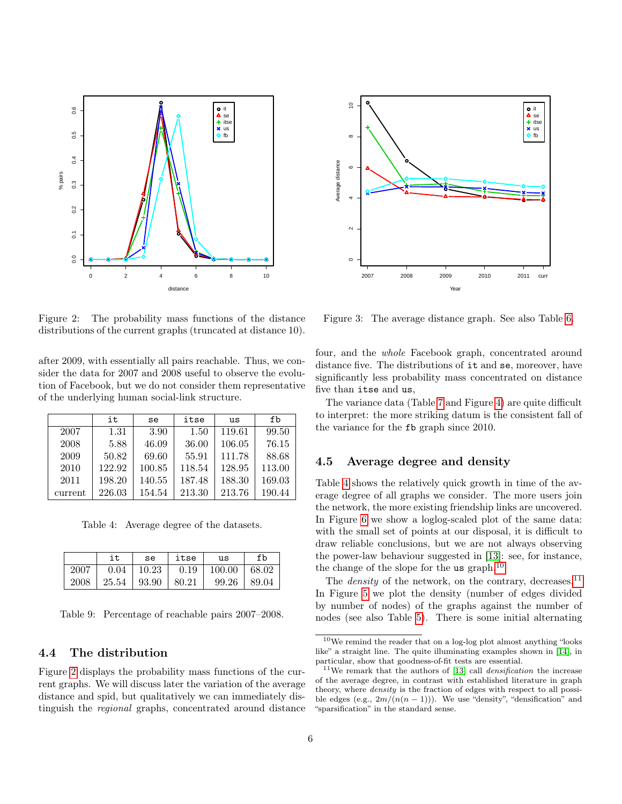

<span id="page-5-1"></span>Figure 2: The probability mass functions of the distance distributions of the current graphs (truncated at distance 10).

after 2009, with essentially all pairs reachable. Thus, we consider the data for 2007 and 2008 useful to observe the evolution of Facebook, but we do not consider them representative of the underlying human social-link structure.

|         | it     | se     | itse   | us     | fb     |
|---------|--------|--------|--------|--------|--------|
| 2007    | 1.31   | 3.90   | 1.50   | 119.61 | 99.50  |
| 2008    | 5.88   | 46.09  | 36.00  | 106.05 | 76.15  |
| 2009    | 50.82  | 69.60  | 55.91  | 111.78 | 88.68  |
| 2010    | 122.92 | 100.85 | 118.54 | 128.95 | 113.00 |
| 2011    | 198.20 | 140.55 | 187.48 | 188.30 | 169.03 |
| current | 226.03 | 154.54 | 213.30 | 213.76 | 190.44 |

<span id="page-5-2"></span>Table 4: Average degree of the datasets.

|      | it    | se    | itse  | us     | fb    |
|------|-------|-------|-------|--------|-------|
| 2007 | 0.04  | 10.23 | 0.19  | 100.00 | 68.02 |
| 2008 | 25.54 | 93.90 | 80.21 | 99.26  | 89.04 |

<span id="page-5-0"></span>Table 9: Percentage of reachable pairs 2007–2008.

#### 4.4 The distribution

Figure [2](#page-5-1) displays the probability mass functions of the current graphs. We will discuss later the variation of the average distance and spid, but qualitatively we can immediately distinguish the regional graphs, concentrated around distance



<span id="page-5-5"></span>Figure 3: The average distance graph. See also Table [6.](#page-7-0)

four, and the whole Facebook graph, concentrated around distance five. The distributions of it and se, moreover, have significantly less probability mass concentrated on distance five than itse and us,

The variance data (Table [7](#page-8-1) and Figure [4\)](#page-9-0) are quite difficult to interpret: the more striking datum is the consistent fall of the variance for the fb graph since 2010.

#### 4.5 Average degree and density

Table [4](#page-5-2) shows the relatively quick growth in time of the average degree of all graphs we consider. The more users join the network, the more existing friendship links are uncovered. In Figure [6](#page-9-1) we show a loglog-scaled plot of the same data: with the small set of points at our disposal, it is difficult to draw reliable conclusions, but we are not always observing the power-law behaviour suggested in [\[13\]](#page-11-8): see, for instance, the change of the slope for the us graph.<sup>[10](#page-5-3)</sup>

The *density* of the network, on the contrary, decreases.<sup>[11](#page-5-4)</sup> In Figure [5](#page-9-2) we plot the density (number of edges divided by number of nodes) of the graphs against the number of nodes (see also Table [5\)](#page-7-1). There is some initial alternating

<span id="page-5-3"></span> $^{10}\mathrm{We}$  remind the reader that on a log-log plot almost anything "looks like" a straight line. The quite illuminating examples shown in [\[14\]](#page-11-11), in particular, show that goodness-of-fit tests are essential.

<span id="page-5-4"></span><sup>&</sup>lt;sup>11</sup>We remark that the authors of [\[13\]](#page-11-8) call *densification* the increase of the average degree, in contrast with established literature in graph theory, where density is the fraction of edges with respect to all possible edges (e.g.,  $2m/(n(n-1))$ ). We use "density", "densification" and "sparsification" in the standard sense.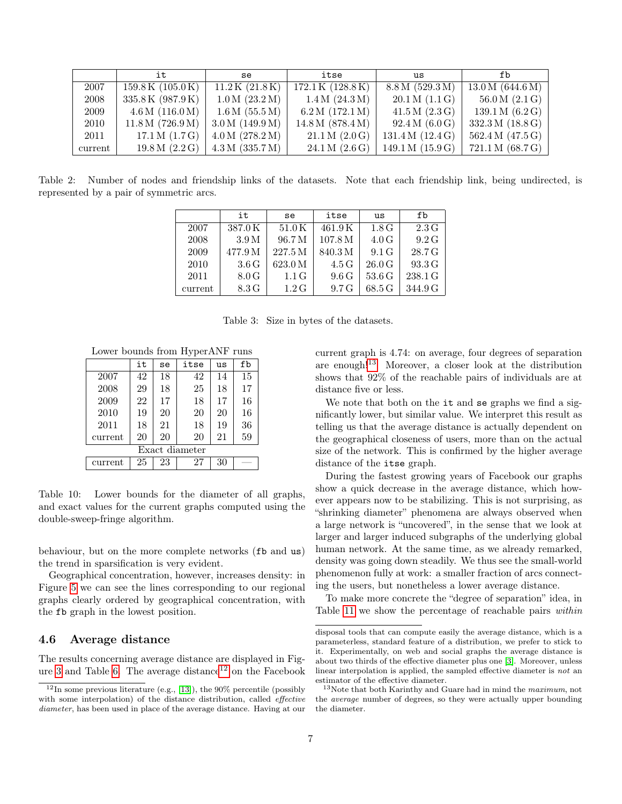|         | it                            | se              | itse                          | us               | fb               |
|---------|-------------------------------|-----------------|-------------------------------|------------------|------------------|
| 2007    | $159.8\,\mathrm{K}$ (105.0 K) | 11.2K(21.8K)    | $172.1\,\mathrm{K}$ (128.8 K) | 8.8 M (529.3 M)  | 13.0 M (644.6 M) |
| 2008    | 335.8 K (987.9 K)             | 1.0 M (23.2 M)  | 1.4 M (24.3 M)                | 20.1 M (1.1 G)   | 56.0 M (2.1 G)   |
| 2009    | 4.6 M (116.0 M)               | 1.6 M (55.5 M)  | 6.2 M (172.1 M)               | 41.5 M (2.3 G)   | 139.1 M (6.2 G)  |
| 2010    | 11.8 M (726.9 M)              | 3.0 M (149.9 M) | 14.8 M (878.4 M)              | 92.4 M (6.0 G)   | 332.3 M (18.8 G) |
| 2011    | 17.1 M (1.7 G)                | 4.0 M (278.2 M) | 21.1 M (2.0 G)                | 131.4 M (12.4 G) | 562.4 M (47.5 G) |
| current | 19.8 M (2.2 G)                | 4.3 M (335.7 M) | 24.1 M (2.6 G)                | 149.1 M (15.9 G) | 721.1 M (68.7 G) |

Table 2: Number of nodes and friendship links of the datasets. Note that each friendship link, being undirected, is represented by a pair of symmetric arcs.

|         | it               | se               | itse    | us                 | fb               |
|---------|------------------|------------------|---------|--------------------|------------------|
| 2007    | 387.0K           | 51.0K            | 461.9K  | 1.8 <sub>G</sub>   | 2.3 <sub>G</sub> |
| 2008    | 3.9 <sub>M</sub> | 96.7 M           | 107.8 M | 4.0 G              | 9.2G             |
| 2009    | 477.9 M          | 227.5 M          | 840.3M  | 9.1 <sub>G</sub>   | 28.7 G           |
| 2010    | 3.6 <sub>G</sub> | 623.0 M          | 4.5 G   | 26.0 G             | 93.3 G           |
| 2011    | 8.0 G            | 1.1 <sub>G</sub> | 9.6G    | 53.6 <sub>G</sub>  | 238.1 G          |
| current | 8.3 G            | 1.2 <sub>G</sub> | 9.7G    | $68.5\,\mathrm{G}$ | 344.9 G          |

Table 3: Size in bytes of the datasets.

Lower bounds from HyperANF runs

|                | it | se | itse | us | fb |  |  |
|----------------|----|----|------|----|----|--|--|
| 2007           | 42 | 18 | 42   | 14 | 15 |  |  |
| 2008           | 29 | 18 | 25   | 18 | 17 |  |  |
| 2009           | 22 | 17 | 18   | 17 | 16 |  |  |
| 2010           | 19 | 20 | 20   | 20 | 16 |  |  |
| 2011           | 18 | 21 | 18   | 19 | 36 |  |  |
| current        | 20 | 20 | 20   | 21 | 59 |  |  |
| Exact diameter |    |    |      |    |    |  |  |
| current        | 25 | 23 | 27   | 30 |    |  |  |

<span id="page-6-2"></span>Table 10: Lower bounds for the diameter of all graphs, and exact values for the current graphs computed using the double-sweep-fringe algorithm.

behaviour, but on the more complete networks (fb and us) the trend in sparsification is very evident.

Geographical concentration, however, increases density: in Figure [5](#page-9-2) we can see the lines corresponding to our regional graphs clearly ordered by geographical concentration, with the fb graph in the lowest position.

#### 4.6 Average distance

The results concerning average distance are displayed in Fig-ure [3](#page-5-5) and Table [6.](#page-7-0) The average distance<sup>[12](#page-6-0)</sup> on the Facebook current graph is 4.74: on average, four degrees of separation are enough![13](#page-6-1) Moreover, a closer look at the distribution shows that 92% of the reachable pairs of individuals are at distance five or less.

We note that both on the it and se graphs we find a significantly lower, but similar value. We interpret this result as telling us that the average distance is actually dependent on the geographical closeness of users, more than on the actual size of the network. This is confirmed by the higher average distance of the itse graph.

During the fastest growing years of Facebook our graphs show a quick decrease in the average distance, which however appears now to be stabilizing. This is not surprising, as "shrinking diameter" phenomena are always observed when a large network is "uncovered", in the sense that we look at larger and larger induced subgraphs of the underlying global human network. At the same time, as we already remarked, density was going down steadily. We thus see the small-world phenomenon fully at work: a smaller fraction of arcs connecting the users, but nonetheless a lower average distance.

To make more concrete the "degree of separation" idea, in Table [11](#page-9-3) we show the percentage of reachable pairs *within* 

<span id="page-6-0"></span> $12$ In some previous literature (e.g., [\[13\]](#page-11-8)), the 90% percentile (possibly with some interpolation) of the distance distribution, called *effective* diameter, has been used in place of the average distance. Having at our

disposal tools that can compute easily the average distance, which is a parameterless, standard feature of a distribution, we prefer to stick to it. Experimentally, on web and social graphs the average distance is about two thirds of the effective diameter plus one [\[3\]](#page-11-0). Moreover, unless linear interpolation is applied, the sampled effective diameter is not an estimator of the effective diameter.

<span id="page-6-1"></span><sup>13</sup>Note that both Karinthy and Guare had in mind the maximum, not the average number of degrees, so they were actually upper bounding the diameter.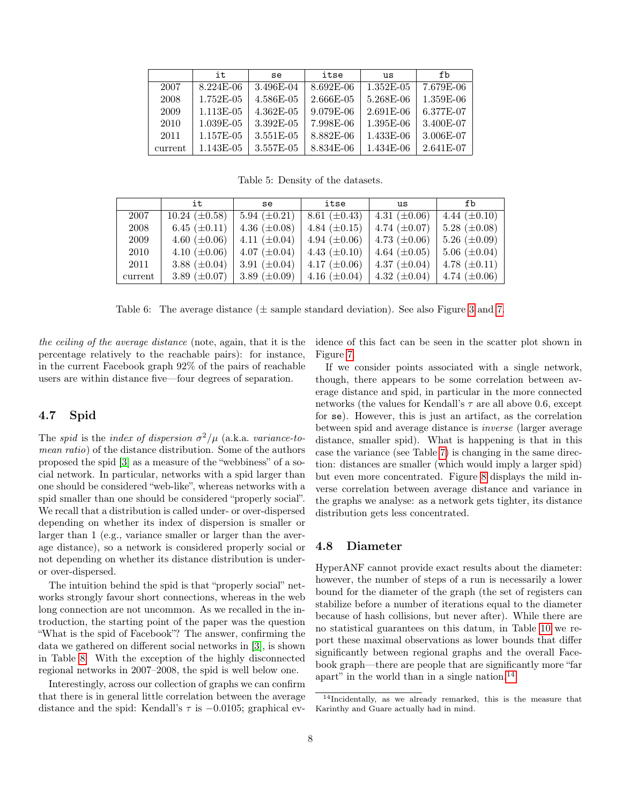|         | it.       | se        | itse      | us          | fb        |
|---------|-----------|-----------|-----------|-------------|-----------|
| 2007    | 8.224E-06 | 3.496E-04 | 8.692E-06 | 1.352E-05   | 7.679E-06 |
| 2008    | 1.752E-05 | 4.586E-05 | 2.666E-05 | 5.268E-06   | 1.359E-06 |
| 2009    | 1.113E-05 | 4.362E-05 | 9.079E-06 | $2.691E-06$ | 6.377E-07 |
| 2010    | 1.039E-05 | 3.392E-05 | 7.998E-06 | 1.395E-06   | 3.400E-07 |
| 2011    | 1.157E-05 | 3.551E-05 | 8.882E-06 | 1.433E-06   | 3.006E-07 |
| current | 1.143E-05 | 3.557E-05 | 8.834E-06 | 1.434E-06   | 2.641E-07 |

<span id="page-7-1"></span>Table 5: Density of the datasets.

|         | it                 | se                | itse              | us                | fb                  |
|---------|--------------------|-------------------|-------------------|-------------------|---------------------|
| 2007    | $10.24~(\pm 0.58)$ | 5.94 $(\pm 0.21)$ | 8.61 $(\pm 0.43)$ | 4.31 $(\pm 0.06)$ | 4.44 $(\pm 0.10)$   |
| 2008    | 6.45 $(\pm 0.11)$  | 4.36 $(\pm 0.08)$ | 4.84 $(\pm 0.15)$ | 4.74 $(\pm 0.07)$ | 5.28 $(\pm 0.08)$   |
| 2009    | 4.60 $(\pm 0.06)$  | 4.11 $(\pm 0.04)$ | 4.94 $(\pm 0.06)$ | 4.73 $(\pm 0.06)$ | 5.26 $(\pm 0.09)$   |
| 2010    | 4.10 $(\pm 0.06)$  | 4.07 $(\pm 0.04)$ | 4.43 $(\pm 0.10)$ | 4.64 $(\pm 0.05)$ | $5.06 \ (\pm 0.04)$ |
| 2011    | 3.88 $(\pm 0.04)$  | 3.91 $(\pm 0.04)$ | 4.17 $(\pm 0.06)$ | 4.37 $(\pm 0.04)$ | 4.78 $(\pm 0.11)$   |
| current | 3.89 $(\pm 0.07)$  | 3.89 $(\pm 0.09)$ | 4.16 $(\pm 0.04)$ | 4.32 $(\pm 0.04)$ | 4.74 $(\pm 0.06)$   |

<span id="page-7-0"></span>Table 6: The average distance  $(\pm$  sample standard deviation). See also Figure [3](#page-5-5) and [7.](#page-10-0)

the ceiling of the average distance (note, again, that it is the percentage relatively to the reachable pairs): for instance, in the current Facebook graph 92% of the pairs of reachable users are within distance five—four degrees of separation.

#### 4.7 Spid

The spid is the index of dispersion  $\sigma^2/\mu$  (a.k.a. variance-tomean ratio) of the distance distribution. Some of the authors proposed the spid [\[3\]](#page-11-0) as a measure of the "webbiness" of a social network. In particular, networks with a spid larger than one should be considered "web-like", whereas networks with a spid smaller than one should be considered "properly social". We recall that a distribution is called under- or over-dispersed depending on whether its index of dispersion is smaller or larger than 1 (e.g., variance smaller or larger than the average distance), so a network is considered properly social or not depending on whether its distance distribution is underor over-dispersed.

The intuition behind the spid is that "properly social" networks strongly favour short connections, whereas in the web long connection are not uncommon. As we recalled in the introduction, the starting point of the paper was the question "What is the spid of Facebook"? The answer, confirming the data we gathered on different social networks in [\[3\]](#page-11-0), is shown in Table [8.](#page-8-2) With the exception of the highly disconnected regional networks in 2007–2008, the spid is well below one.

Interestingly, across our collection of graphs we can confirm that there is in general little correlation between the average distance and the spid: Kendall's  $\tau$  is  $-0.0105$ ; graphical evidence of this fact can be seen in the scatter plot shown in Figure [7.](#page-10-0)

If we consider points associated with a single network, though, there appears to be some correlation between average distance and spid, in particular in the more connected networks (the values for Kendall's  $\tau$  are all above 0.6, except for se). However, this is just an artifact, as the correlation between spid and average distance is inverse (larger average distance, smaller spid). What is happening is that in this case the variance (see Table [7\)](#page-8-1) is changing in the same direction: distances are smaller (which would imply a larger spid) but even more concentrated. Figure [8](#page-10-1) displays the mild inverse correlation between average distance and variance in the graphs we analyse: as a network gets tighter, its distance distribution gets less concentrated.

#### 4.8 Diameter

HyperANF cannot provide exact results about the diameter: however, the number of steps of a run is necessarily a lower bound for the diameter of the graph (the set of registers can stabilize before a number of iterations equal to the diameter because of hash collisions, but never after). While there are no statistical guarantees on this datum, in Table [10](#page-6-2) we report these maximal observations as lower bounds that differ significantly between regional graphs and the overall Facebook graph—there are people that are significantly more "far apart" in the world than in a single nation.<sup>[14](#page-7-2)</sup>

<span id="page-7-2"></span><sup>14</sup>Incidentally, as we already remarked, this is the measure that Karinthy and Guare actually had in mind.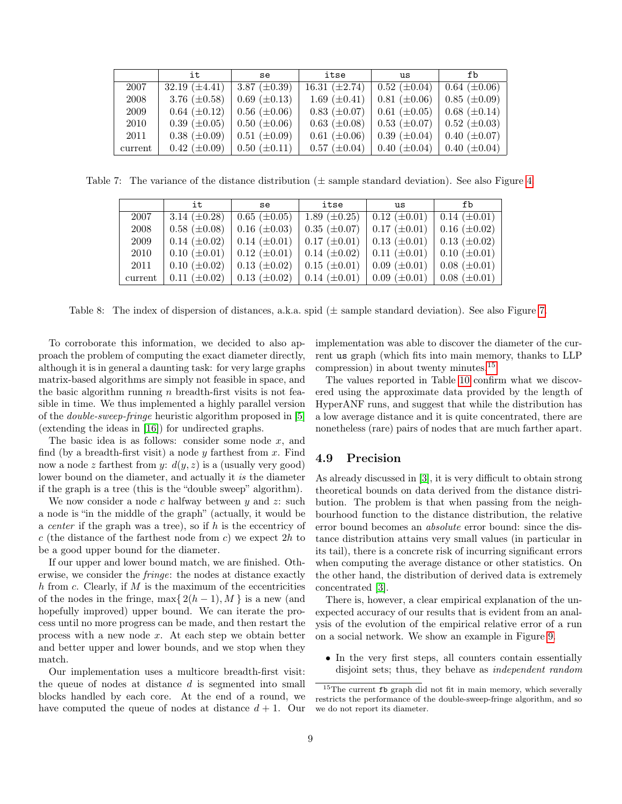|         | it                                     | se                | itse                                            | us                | fb                |
|---------|----------------------------------------|-------------------|-------------------------------------------------|-------------------|-------------------|
| 2007    | 32.19 $(\pm 4.41)$   3.87 $(\pm 0.39)$ |                   | 16.31 $(\pm 2.74)$   0.52 $(\pm 0.04)$          |                   | $0.64~(\pm 0.06)$ |
| 2008    | 3.76 $(\pm 0.58)$                      | $0.69~(\pm 0.13)$ | 1.69 $(\pm 0.41)$                               | $0.81~(\pm 0.06)$ | $0.85~(\pm 0.09)$ |
| 2009    | $0.64~(\pm 0.12)$                      | $0.56~(\pm 0.06)$ | $0.83 \ (\pm 0.07) \ \   \ \ 0.61 \ (\pm 0.05)$ |                   | $0.68~(\pm 0.14)$ |
| 2010    | $0.39~(\pm 0.05)$                      | $0.50~(\pm 0.06)$ | $0.63 \ (\pm 0.08) \ \   \ \ 0.53 \ (\pm 0.07)$ |                   | $0.52~(\pm 0.03)$ |
| 2011    | $0.38~(\pm 0.09)$                      | $0.51~(\pm 0.09)$ | $0.61~(\pm 0.06)$                               | $0.39~(\pm 0.04)$ | $0.40~(\pm 0.07)$ |
| current | $0.42~(\pm 0.09)$                      | $0.50~(\pm 0.11)$ | $0.57 \ (\pm 0.04) \ \   \ \ 0.40 \ (\pm 0.04)$ |                   | $0.40~(\pm 0.04)$ |

Table 7: The variance of the distance distribution ( $\pm$  sample standard deviation). See also Figure [4.](#page-9-0)

<span id="page-8-1"></span>

|         | it                | se                                | itse                    | us                                                              | fb |
|---------|-------------------|-----------------------------------|-------------------------|-----------------------------------------------------------------|----|
| 2007    | 3.14 $(\pm 0.28)$ | $0.65~(\pm 0.05)$                 | 1.89 $(\pm 0.25)$       | $\vert 0.12 \ (\pm 0.01) \ \vert 0.14 \ (\pm 0.01) \ \vert$     |    |
| 2008    | $0.58~(\pm 0.08)$ | $0.16~(\pm 0.03)$                 | $0.35~(\pm 0.07)$       | $\vert 0.17 (\pm 0.01) \vert 0.16 (\pm 0.02) \vert$             |    |
| 2009    | $0.14~(\pm 0.02)$ | $0.14~(\pm 0.01)$                 | $0.17~(\pm 0.01)$       | $\vert 0.13 \ (\pm 0.01) \ \vert 0.13 \ (\pm 0.02)$             |    |
| 2010    | $0.10~(\pm 0.01)$ | $0.12~(\pm 0.01)$                 | $\pm 0.14 \ (\pm 0.02)$ | $0.11 \ (\pm 0.01)$   $0.10 \ (\pm 0.01)$                       |    |
| 2011    | $0.10~(\pm 0.02)$ | $0.13~(\pm 0.02)$                 | $0.15~(\pm 0.01)$       | $\vert 0.09 \ (\pm 0.01) \ \vert 0.08 \ (\pm 0.01) \ \vert$     |    |
| current | $0.11~(\pm 0.02)$ | $\vert 0.13 \ (\pm 0.02) \ \vert$ |                         | $0.14 \ (\pm 0.01)$   $0.09 \ (\pm 0.01)$   $0.08 \ (\pm 0.01)$ |    |

<span id="page-8-2"></span>Table 8: The index of dispersion of distances, a.k.a. spid  $(\pm$  sample standard deviation). See also Figure [7.](#page-10-0)

To corroborate this information, we decided to also approach the problem of computing the exact diameter directly, although it is in general a daunting task: for very large graphs matrix-based algorithms are simply not feasible in space, and the basic algorithm running  $n$  breadth-first visits is not feasible in time. We thus implemented a highly parallel version of the double-sweep-fringe heuristic algorithm proposed in [\[5\]](#page-11-12) (extending the ideas in [\[16\]](#page-12-5)) for undirected graphs.

The basic idea is as follows: consider some node  $x$ , and find (by a breadth-first visit) a node  $y$  farthest from  $x$ . Find now a node z farthest from y:  $d(y, z)$  is a (usually very good) lower bound on the diameter, and actually it is the diameter if the graph is a tree (this is the "double sweep" algorithm).

We now consider a node  $c$  halfway between  $y$  and  $z$ : such a node is "in the middle of the graph" (actually, it would be a *center* if the graph was a tree), so if  $h$  is the eccentricy of c (the distance of the farthest node from c) we expect  $2h$  to be a good upper bound for the diameter.

If our upper and lower bound match, we are finished. Otherwise, we consider the fringe: the nodes at distance exactly  $h$  from  $c$ . Clearly, if  $M$  is the maximum of the eccentricities of the nodes in the fringe, max $\{2(h-1), M\}$  is a new (and hopefully improved) upper bound. We can iterate the process until no more progress can be made, and then restart the process with a new node x. At each step we obtain better and better upper and lower bounds, and we stop when they match.

Our implementation uses a multicore breadth-first visit: the queue of nodes at distance d is segmented into small blocks handled by each core. At the end of a round, we have computed the queue of nodes at distance  $d + 1$ . Our implementation was able to discover the diameter of the current us graph (which fits into main memory, thanks to LLP compression) in about twenty minutes.[15](#page-8-3)

The values reported in Table [10](#page-6-2) confirm what we discovered using the approximate data provided by the length of HyperANF runs, and suggest that while the distribution has a low average distance and it is quite concentrated, there are nonetheless (rare) pairs of nodes that are much farther apart.

#### <span id="page-8-0"></span>4.9 Precision

As already discussed in [\[3\]](#page-11-0), it is very difficult to obtain strong theoretical bounds on data derived from the distance distribution. The problem is that when passing from the neighbourhood function to the distance distribution, the relative error bound becomes an absolute error bound: since the distance distribution attains very small values (in particular in its tail), there is a concrete risk of incurring significant errors when computing the average distance or other statistics. On the other hand, the distribution of derived data is extremely concentrated [\[3\]](#page-11-0).

There is, however, a clear empirical explanation of the unexpected accuracy of our results that is evident from an analysis of the evolution of the empirical relative error of a run on a social network. We show an example in Figure [9.](#page-10-2)

• In the very first steps, all counters contain essentially disjoint sets; thus, they behave as independent random

<span id="page-8-3"></span><sup>15</sup>The current fb graph did not fit in main memory, which severally restricts the performance of the double-sweep-fringe algorithm, and so we do not report its diameter.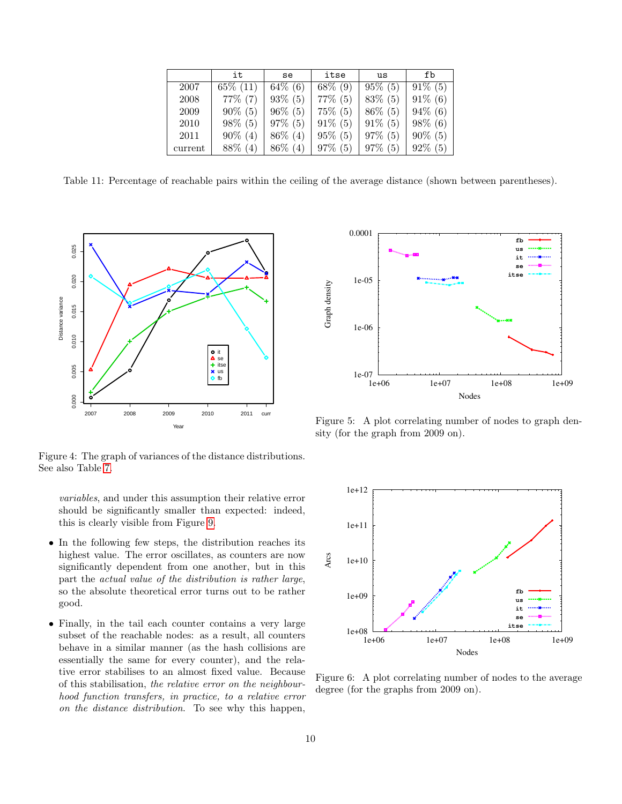|         | it          | se         | itse       | us         | fb         |
|---------|-------------|------------|------------|------------|------------|
| 2007    | $65\%$ (11) | $64\%$ (6) | $68\%$ (9) | $95\%$ (5) | $91\%$ (5) |
| 2008    | $77\%$ (7)  | $93\%$ (5) | $77\%$ (5) | $83\%$ (5) | $91\%$ (6) |
| 2009    | $90\% (5)$  | $96\%$ (5) | $75\%$ (5) | $86\%$ (5) | $94\%$ (6) |
| 2010    | $98\%$ (5)  | $97\%$ (5) | $91\%$ (5) | $91\%$ (5) | $98\%$ (6) |
| 2011    | $90\%$ (4)  | $86\%$ (4) | $95\%$ (5) | $97\%$ (5) | $90\%$ (5) |
| current | 88\% (4)    | $86\%$ (4) | $97\%$ (5) | $97\%$ (5) | $92\%$ (5) |

<span id="page-9-3"></span>Table 11: Percentage of reachable pairs within the ceiling of the average distance (shown between parentheses).



<span id="page-9-0"></span>Figure 4: The graph of variances of the distance distributions. See also Table [7.](#page-8-1)

variables, and under this assumption their relative error should be significantly smaller than expected: indeed, this is clearly visible from Figure [9.](#page-10-2)

- In the following few steps, the distribution reaches its highest value. The error oscillates, as counters are now significantly dependent from one another, but in this part the actual value of the distribution is rather large, so the absolute theoretical error turns out to be rather good.
- Finally, in the tail each counter contains a very large subset of the reachable nodes: as a result, all counters behave in a similar manner (as the hash collisions are essentially the same for every counter), and the relative error stabilises to an almost fixed value. Because of this stabilisation, the relative error on the neighbourhood function transfers, in practice, to a relative error on the distance distribution. To see why this happen,



<span id="page-9-2"></span>Figure 5: A plot correlating number of nodes to graph density (for the graph from 2009 on).



<span id="page-9-1"></span>Figure 6: A plot correlating number of nodes to the average degree (for the graphs from 2009 on).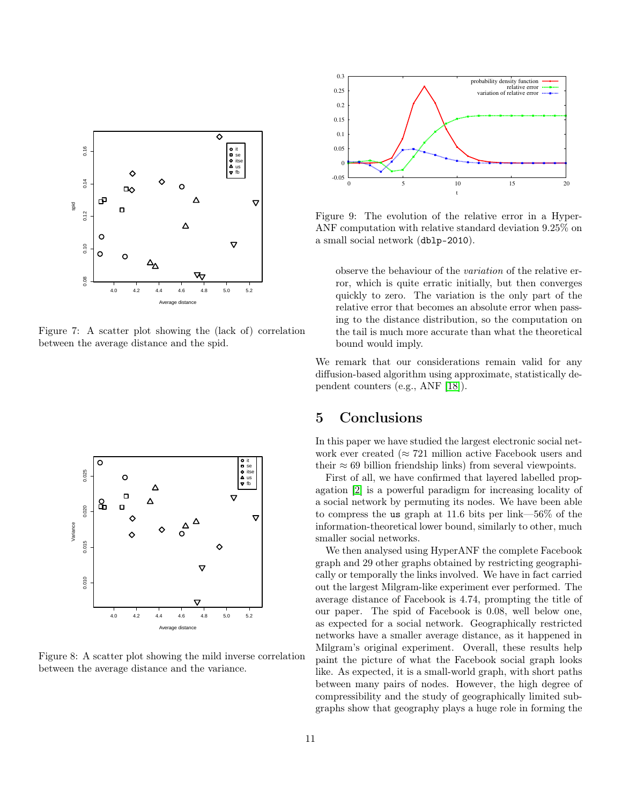

<span id="page-10-0"></span>Figure 7: A scatter plot showing the (lack of) correlation between the average distance and the spid.



<span id="page-10-1"></span>Figure 8: A scatter plot showing the mild inverse correlation between the average distance and the variance.



<span id="page-10-2"></span>Figure 9: The evolution of the relative error in a Hyper-ANF computation with relative standard deviation 9.25% on a small social network (dblp-2010).

observe the behaviour of the variation of the relative error, which is quite erratic initially, but then converges quickly to zero. The variation is the only part of the relative error that becomes an absolute error when passing to the distance distribution, so the computation on the tail is much more accurate than what the theoretical bound would imply.

We remark that our considerations remain valid for any diffusion-based algorithm using approximate, statistically dependent counters (e.g., ANF [\[18\]](#page-12-1)).

## 5 Conclusions

In this paper we have studied the largest electronic social network ever created ( $\approx 721$  million active Facebook users and their  $\approx 69$  billion friendship links) from several viewpoints.

First of all, we have confirmed that layered labelled propagation [\[2\]](#page-11-10) is a powerful paradigm for increasing locality of a social network by permuting its nodes. We have been able to compress the us graph at 11.6 bits per link—56% of the information-theoretical lower bound, similarly to other, much smaller social networks.

We then analysed using HyperANF the complete Facebook graph and 29 other graphs obtained by restricting geographically or temporally the links involved. We have in fact carried out the largest Milgram-like experiment ever performed. The average distance of Facebook is 4.74, prompting the title of our paper. The spid of Facebook is 0.08, well below one, as expected for a social network. Geographically restricted networks have a smaller average distance, as it happened in Milgram's original experiment. Overall, these results help paint the picture of what the Facebook social graph looks like. As expected, it is a small-world graph, with short paths between many pairs of nodes. However, the high degree of compressibility and the study of geographically limited subgraphs show that geography plays a huge role in forming the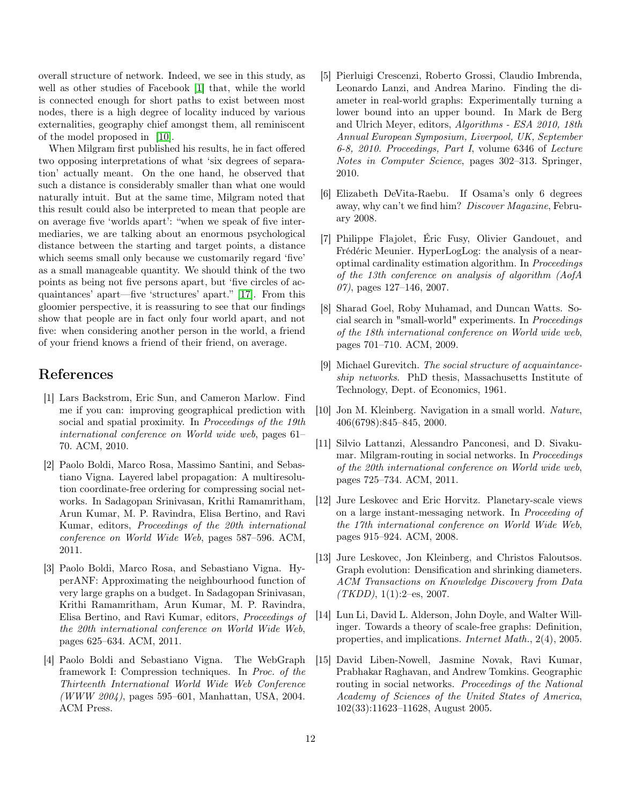overall structure of network. Indeed, we see in this study, as well as other studies of Facebook [\[1\]](#page-11-13) that, while the world is connected enough for short paths to exist between most nodes, there is a high degree of locality induced by various externalities, geography chief amongst them, all reminiscent of the model proposed in [\[10\]](#page-11-14).

When Milgram first published his results, he in fact offered two opposing interpretations of what 'six degrees of separation' actually meant. On the one hand, he observed that such a distance is considerably smaller than what one would naturally intuit. But at the same time, Milgram noted that this result could also be interpreted to mean that people are on average five 'worlds apart': "when we speak of five intermediaries, we are talking about an enormous psychological distance between the starting and target points, a distance which seems small only because we customarily regard 'five' as a small manageable quantity. We should think of the two points as being not five persons apart, but 'five circles of acquaintances' apart—five 'structures' apart." [\[17\]](#page-12-0). From this gloomier perspective, it is reassuring to see that our findings show that people are in fact only four world apart, and not five: when considering another person in the world, a friend of your friend knows a friend of their friend, on average.

## References

- <span id="page-11-13"></span>[1] Lars Backstrom, Eric Sun, and Cameron Marlow. Find me if you can: improving geographical prediction with social and spatial proximity. In Proceedings of the 19th international conference on World wide web, pages 61– 70. ACM, 2010.
- <span id="page-11-10"></span>[2] Paolo Boldi, Marco Rosa, Massimo Santini, and Sebastiano Vigna. Layered label propagation: A multiresolution coordinate-free ordering for compressing social networks. In Sadagopan Srinivasan, Krithi Ramamritham, Arun Kumar, M. P. Ravindra, Elisa Bertino, and Ravi Kumar, editors, Proceedings of the 20th international conference on World Wide Web, pages 587–596. ACM, 2011.
- <span id="page-11-0"></span>[3] Paolo Boldi, Marco Rosa, and Sebastiano Vigna. HyperANF: Approximating the neighbourhood function of very large graphs on a budget. In Sadagopan Srinivasan, Krithi Ramamritham, Arun Kumar, M. P. Ravindra, Elisa Bertino, and Ravi Kumar, editors, Proceedings of the 20th international conference on World Wide Web, pages 625–634. ACM, 2011.
- <span id="page-11-1"></span>[4] Paolo Boldi and Sebastiano Vigna. The WebGraph framework I: Compression techniques. In Proc. of the Thirteenth International World Wide Web Conference  $(WWW 2004)$ , pages 595–601, Manhattan, USA, 2004. ACM Press.
- <span id="page-11-12"></span>[5] Pierluigi Crescenzi, Roberto Grossi, Claudio Imbrenda, Leonardo Lanzi, and Andrea Marino. Finding the diameter in real-world graphs: Experimentally turning a lower bound into an upper bound. In Mark de Berg and Ulrich Meyer, editors, Algorithms - ESA 2010, 18th Annual European Symposium, Liverpool, UK, September 6-8, 2010. Proceedings, Part I, volume 6346 of Lecture Notes in Computer Science, pages 302–313. Springer, 2010.
- <span id="page-11-3"></span>[6] Elizabeth DeVita-Raebu. If Osama's only 6 degrees away, why can't we find him? Discover Magazine, February 2008.
- <span id="page-11-9"></span>[7] Philippe Flajolet, Éric Fusy, Olivier Gandouet, and Frédéric Meunier. HyperLogLog: the analysis of a nearoptimal cardinality estimation algorithm. In Proceedings of the 13th conference on analysis of algorithm (AofA  $07$ , pages 127–146, 2007.
- <span id="page-11-6"></span>[8] Sharad Goel, Roby Muhamad, and Duncan Watts. Social search in "small-world" experiments. In Proceedings of the 18th international conference on World wide web, pages 701–710. ACM, 2009.
- <span id="page-11-2"></span>[9] Michael Gurevitch. The social structure of acquaintanceship networks. PhD thesis, Massachusetts Institute of Technology, Dept. of Economics, 1961.
- <span id="page-11-14"></span>[10] Jon M. Kleinberg. Navigation in a small world. Nature, 406(6798):845–845, 2000.
- <span id="page-11-5"></span>[11] Silvio Lattanzi, Alessandro Panconesi, and D. Sivakumar. Milgram-routing in social networks. In Proceedings of the 20th international conference on World wide web, pages 725–734. ACM, 2011.
- <span id="page-11-7"></span>[12] Jure Leskovec and Eric Horvitz. Planetary-scale views on a large instant-messaging network. In Proceeding of the 17th international conference on World Wide Web, pages 915–924. ACM, 2008.
- <span id="page-11-8"></span>[13] Jure Leskovec, Jon Kleinberg, and Christos Faloutsos. Graph evolution: Densification and shrinking diameters. ACM Transactions on Knowledge Discovery from Data  $(TKDD)$ , 1(1):2–es, 2007.
- <span id="page-11-11"></span>[14] Lun Li, David L. Alderson, John Doyle, and Walter Willinger. Towards a theory of scale-free graphs: Definition, properties, and implications. Internet Math., 2(4), 2005.
- <span id="page-11-4"></span>[15] David Liben-Nowell, Jasmine Novak, Ravi Kumar, Prabhakar Raghavan, and Andrew Tomkins. Geographic routing in social networks. Proceedings of the National Academy of Sciences of the United States of America, 102(33):11623–11628, August 2005.